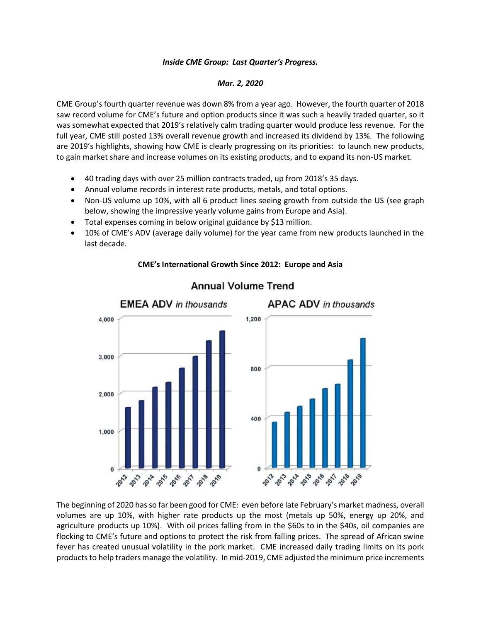## *Inside CME Group: Last Quarter's Progress.*

## *Mar. 2, 2020*

CME Group's fourth quarter revenue was down 8% from a year ago. However, the fourth quarter of 2018 saw record volume for CME's future and option products since it was such a heavily traded quarter, so it was somewhat expected that 2019's relatively calm trading quarter would produce less revenue. For the full year, CME still posted 13% overall revenue growth and increased its dividend by 13%. The following are 2019's highlights, showing how CME is clearly progressing on its priorities: to launch new products, to gain market share and increase volumes on its existing products, and to expand its non-US market.

- 40 trading days with over 25 million contracts traded, up from 2018's 35 days.
- Annual volume records in interest rate products, metals, and total options.
- Non-US volume up 10%, with all 6 product lines seeing growth from outside the US (see graph below, showing the impressive yearly volume gains from Europe and Asia).
- Total expenses coming in below original guidance by \$13 million.
- 10% of CME's ADV (average daily volume) for the year came from new products launched in the last decade.



## **CME's International Growth Since 2012: Europe and Asia**

The beginning of 2020 has so far been good for CME: even before late February's market madness, overall volumes are up 10%, with higher rate products up the most (metals up 50%, energy up 20%, and agriculture products up 10%). With oil prices falling from in the \$60s to in the \$40s, oil companies are flocking to CME's future and options to protect the risk from falling prices. The spread of African swine fever has created unusual volatility in the pork market. CME increased daily trading limits on its pork products to help traders manage the volatility. In mid-2019, CME adjusted the minimum price increments

## **Annual Volume Trend**